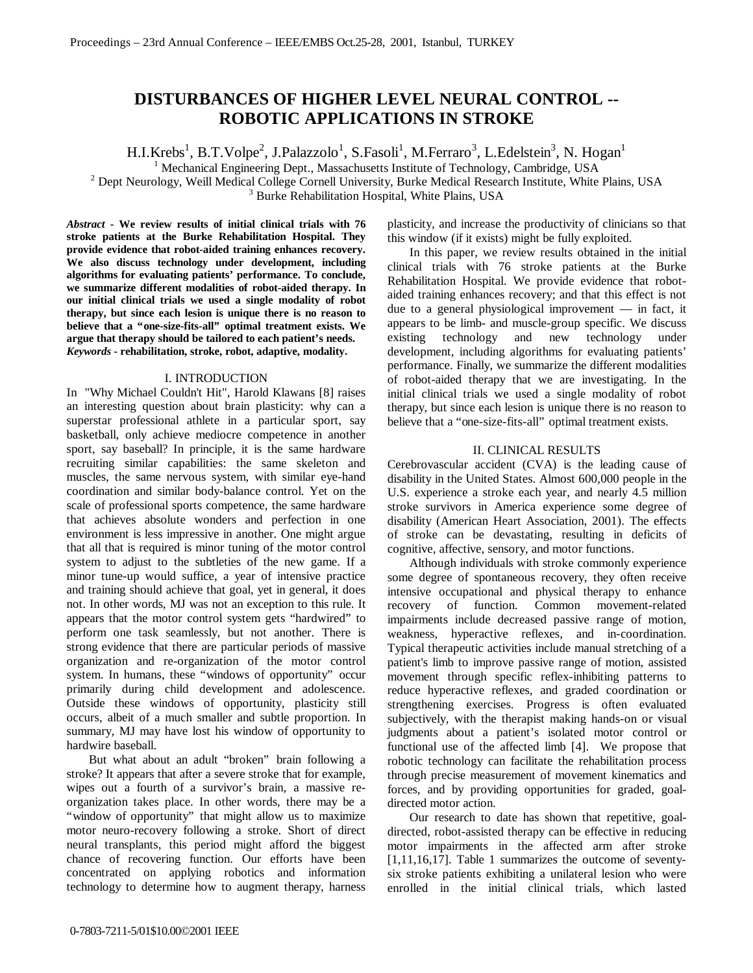# **DISTURBANCES OF HIGHER LEVEL NEURAL CONTROL -- ROBOTIC APPLICATIONS IN STROKE**

H.I.Krebs<sup>1</sup>, B.T.Volpe<sup>2</sup>, J.Palazzolo<sup>1</sup>, S.Fasoli<sup>1</sup>, M.Ferraro<sup>3</sup>, L.Edelstein<sup>3</sup>, N. Hogan<sup>1</sup> 1 Mechanical Engineering Dept., Massachusetts Institute of Technology, Cambridge, USA <sup>2</sup> Dept Neurology, Weill Medical College Cornell University, Burke Medical Research Institute, White Plains, USA <sup>3</sup> Burke Rehabilitation Hospital, White Plains, USA

*Abstract* **- We review results of initial clinical trials with 76 stroke patients at the Burke Rehabilitation Hospital. They provide evidence that robot-aided training enhances recovery. We also discuss technology under development, including algorithms for evaluating patients' performance. To conclude, we summarize different modalities of robot-aided therapy. In our initial clinical trials we used a single modality of robot therapy, but since each lesion is unique there is no reason to believe that a "one-size-fits-all" optimal treatment exists. We argue that therapy should be tailored to each patient's needs.** *Keywords* **- rehabilitation, stroke, robot, adaptive, modality.**

### I. INTRODUCTION

In "Why Michael Couldn't Hit", Harold Klawans [8] raises an interesting question about brain plasticity: why can a superstar professional athlete in a particular sport, say basketball, only achieve mediocre competence in another sport, say baseball? In principle, it is the same hardware recruiting similar capabilities: the same skeleton and muscles, the same nervous system, with similar eye-hand coordination and similar body-balance control. Yet on the scale of professional sports competence, the same hardware that achieves absolute wonders and perfection in one environment is less impressive in another. One might argue that all that is required is minor tuning of the motor control system to adjust to the subtleties of the new game. If a minor tune-up would suffice, a year of intensive practice and training should achieve that goal, yet in general, it does not. In other words, MJ was not an exception to this rule. It appears that the motor control system gets "hardwired" to perform one task seamlessly, but not another. There is strong evidence that there are particular periods of massive organization and re-organization of the motor control system. In humans, these "windows of opportunity" occur primarily during child development and adolescence. Outside these windows of opportunity, plasticity still occurs, albeit of a much smaller and subtle proportion. In summary, MJ may have lost his window of opportunity to hardwire baseball.

But what about an adult "broken" brain following a stroke? It appears that after a severe stroke that for example, wipes out a fourth of a survivor's brain, a massive reorganization takes place. In other words, there may be a "window of opportunity" that might allow us to maximize motor neuro-recovery following a stroke. Short of direct neural transplants, this period might afford the biggest chance of recovering function. Our efforts have been concentrated on applying robotics and information technology to determine how to augment therapy, harness plasticity, and increase the productivity of clinicians so that this window (if it exists) might be fully exploited.

In this paper, we review results obtained in the initial clinical trials with 76 stroke patients at the Burke Rehabilitation Hospital. We provide evidence that robotaided training enhances recovery; and that this effect is not due to a general physiological improvement — in fact, it appears to be limb- and muscle-group specific. We discuss existing technology and new technology under development, including algorithms for evaluating patients' performance. Finally, we summarize the different modalities of robot-aided therapy that we are investigating. In the initial clinical trials we used a single modality of robot therapy, but since each lesion is unique there is no reason to believe that a "one-size-fits-all" optimal treatment exists.

## II. CLINICAL RESULTS

Cerebrovascular accident (CVA) is the leading cause of disability in the United States. Almost 600,000 people in the U.S. experience a stroke each year, and nearly 4.5 million stroke survivors in America experience some degree of disability (American Heart Association, 2001). The effects of stroke can be devastating, resulting in deficits of cognitive, affective, sensory, and motor functions.

Although individuals with stroke commonly experience some degree of spontaneous recovery, they often receive intensive occupational and physical therapy to enhance recovery of function. Common movement-related impairments include decreased passive range of motion, weakness, hyperactive reflexes, and in-coordination. Typical therapeutic activities include manual stretching of a patient's limb to improve passive range of motion, assisted movement through specific reflex-inhibiting patterns to reduce hyperactive reflexes, and graded coordination or strengthening exercises. Progress is often evaluated subjectively, with the therapist making hands-on or visual judgments about a patient's isolated motor control or functional use of the affected limb [4]. We propose that robotic technology can facilitate the rehabilitation process through precise measurement of movement kinematics and forces, and by providing opportunities for graded, goaldirected motor action.

Our research to date has shown that repetitive, goaldirected, robot-assisted therapy can be effective in reducing motor impairments in the affected arm after stroke [1,11,16,17]. Table 1 summarizes the outcome of seventysix stroke patients exhibiting a unilateral lesion who were enrolled in the initial clinical trials, which lasted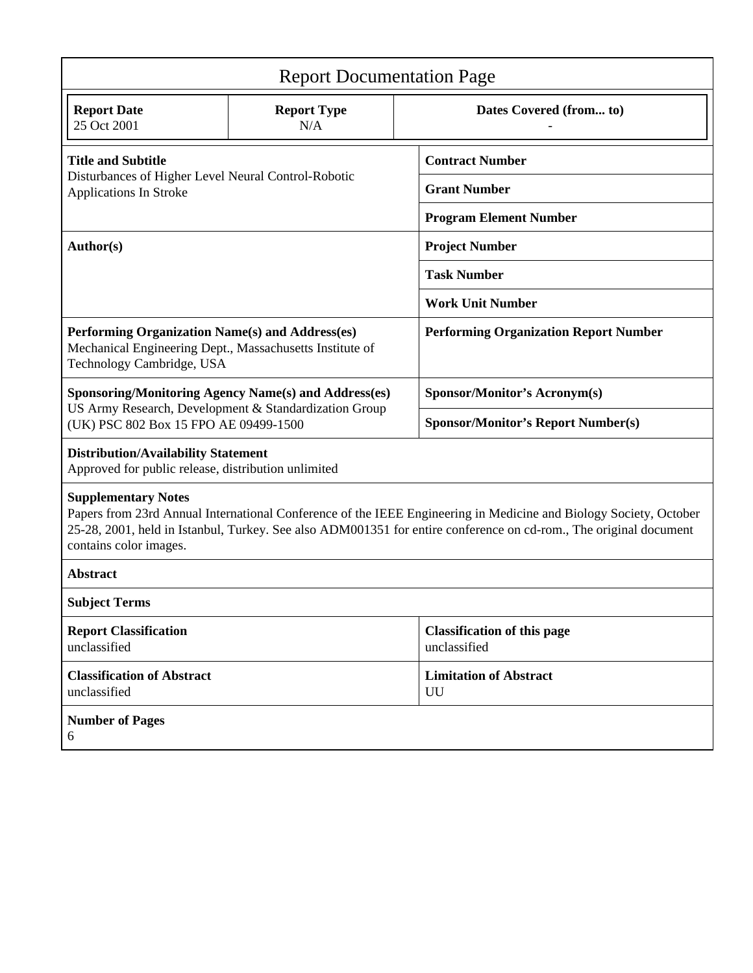| <b>Report Documentation Page</b>                                                                                                                                                                                                                                                               |                                                             |                                                    |  |  |  |  |
|------------------------------------------------------------------------------------------------------------------------------------------------------------------------------------------------------------------------------------------------------------------------------------------------|-------------------------------------------------------------|----------------------------------------------------|--|--|--|--|
| <b>Report Date</b><br>25 Oct 2001                                                                                                                                                                                                                                                              | <b>Report Type</b><br>N/A                                   | Dates Covered (from to)                            |  |  |  |  |
| <b>Title and Subtitle</b><br>Disturbances of Higher Level Neural Control-Robotic<br>Applications In Stroke                                                                                                                                                                                     |                                                             | <b>Contract Number</b>                             |  |  |  |  |
|                                                                                                                                                                                                                                                                                                |                                                             | <b>Grant Number</b>                                |  |  |  |  |
|                                                                                                                                                                                                                                                                                                |                                                             | <b>Program Element Number</b>                      |  |  |  |  |
| Author(s)                                                                                                                                                                                                                                                                                      |                                                             | <b>Project Number</b>                              |  |  |  |  |
|                                                                                                                                                                                                                                                                                                |                                                             | <b>Task Number</b>                                 |  |  |  |  |
|                                                                                                                                                                                                                                                                                                |                                                             | <b>Work Unit Number</b>                            |  |  |  |  |
| Performing Organization Name(s) and Address(es)<br>Mechanical Engineering Dept., Massachusetts Institute of<br>Technology Cambridge, USA                                                                                                                                                       |                                                             | <b>Performing Organization Report Number</b>       |  |  |  |  |
|                                                                                                                                                                                                                                                                                                | <b>Sponsoring/Monitoring Agency Name(s) and Address(es)</b> | Sponsor/Monitor's Acronym(s)                       |  |  |  |  |
| US Army Research, Development & Standardization Group<br>(UK) PSC 802 Box 15 FPO AE 09499-1500                                                                                                                                                                                                 |                                                             | <b>Sponsor/Monitor's Report Number(s)</b>          |  |  |  |  |
| <b>Distribution/Availability Statement</b><br>Approved for public release, distribution unlimited                                                                                                                                                                                              |                                                             |                                                    |  |  |  |  |
| <b>Supplementary Notes</b><br>Papers from 23rd Annual International Conference of the IEEE Engineering in Medicine and Biology Society, October<br>25-28, 2001, held in Istanbul, Turkey. See also ADM001351 for entire conference on cd-rom., The original document<br>contains color images. |                                                             |                                                    |  |  |  |  |
| <b>Abstract</b>                                                                                                                                                                                                                                                                                |                                                             |                                                    |  |  |  |  |
| <b>Subject Terms</b>                                                                                                                                                                                                                                                                           |                                                             |                                                    |  |  |  |  |
| <b>Report Classification</b><br>unclassified                                                                                                                                                                                                                                                   |                                                             | <b>Classification of this page</b><br>unclassified |  |  |  |  |
| <b>Classification of Abstract</b><br>unclassified                                                                                                                                                                                                                                              |                                                             | <b>Limitation of Abstract</b><br>UU                |  |  |  |  |
| <b>Number of Pages</b><br>6                                                                                                                                                                                                                                                                    |                                                             |                                                    |  |  |  |  |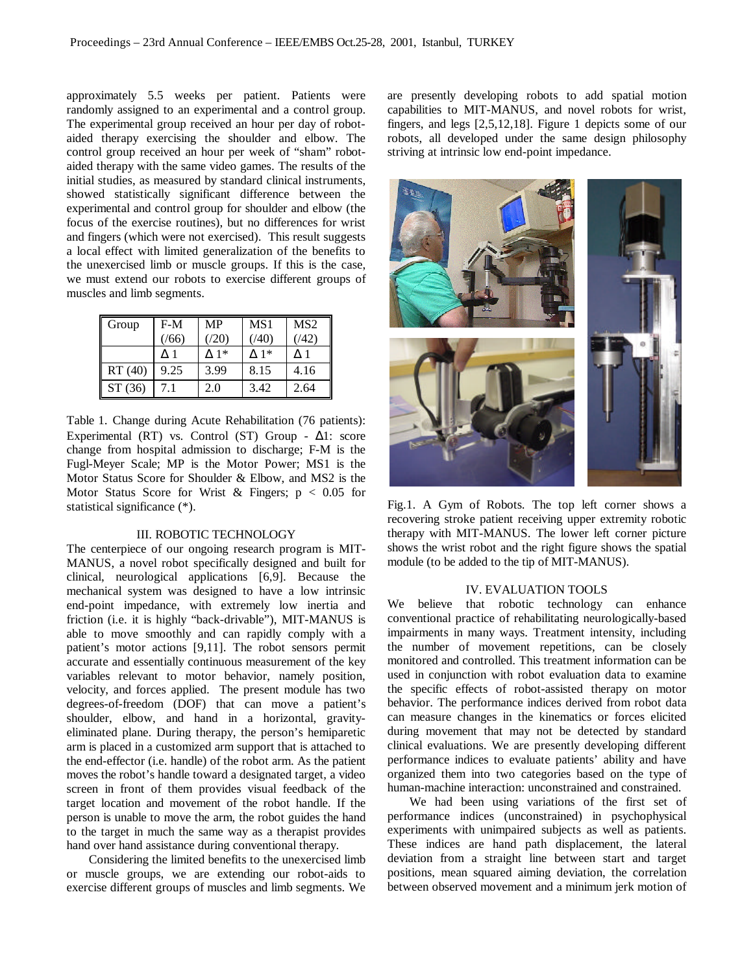approximately 5.5 weeks per patient. Patients were randomly assigned to an experimental and a control group. The experimental group received an hour per day of robotaided therapy exercising the shoulder and elbow. The control group received an hour per week of "sham" robotaided therapy with the same video games. The results of the initial studies, as measured by standard clinical instruments, showed statistically significant difference between the experimental and control group for shoulder and elbow (the focus of the exercise routines), but no differences for wrist and fingers (which were not exercised). This result suggests a local effect with limited generalization of the benefits to the unexercised limb or muscle groups. If this is the case, we must extend our robots to exercise different groups of muscles and limb segments.

| Group   | $F-M$      | MP           | MS1  | MS <sub>2</sub> |
|---------|------------|--------------|------|-----------------|
|         | (66)       | (20)         | (40) | (/42)           |
|         | $\wedge$ 1 | $\Lambda$ 1* | ∧ 1* | Λ1              |
| RT (40) | 9.25       | 3.99         | 8.15 | 4.16            |
| ST(36)  | 71         | 2.0          | 3.42 | 2.64            |

Table 1. Change during Acute Rehabilitation (76 patients): Experimental (RT) vs. Control (ST) Group -  $\Delta 1$ : score change from hospital admission to discharge; F-M is the Fugl-Meyer Scale; MP is the Motor Power; MS1 is the Motor Status Score for Shoulder & Elbow, and MS2 is the Motor Status Score for Wrist & Fingers;  $p < 0.05$  for statistical significance (\*).

## III. ROBOTIC TECHNOLOGY

The centerpiece of our ongoing research program is MIT-MANUS, a novel robot specifically designed and built for clinical, neurological applications [6,9]. Because the mechanical system was designed to have a low intrinsic end-point impedance, with extremely low inertia and friction (i.e. it is highly "back-drivable"), MIT-MANUS is able to move smoothly and can rapidly comply with a patient's motor actions [9,11]. The robot sensors permit accurate and essentially continuous measurement of the key variables relevant to motor behavior, namely position, velocity, and forces applied. The present module has two degrees-of-freedom (DOF) that can move a patient's shoulder, elbow, and hand in a horizontal, gravityeliminated plane. During therapy, the person's hemiparetic arm is placed in a customized arm support that is attached to the end-effector (i.e. handle) of the robot arm. As the patient moves the robot's handle toward a designated target, a video screen in front of them provides visual feedback of the target location and movement of the robot handle. If the person is unable to move the arm, the robot guides the hand to the target in much the same way as a therapist provides hand over hand assistance during conventional therapy.

Considering the limited benefits to the unexercised limb or muscle groups, we are extending our robot-aids to exercise different groups of muscles and limb segments. We are presently developing robots to add spatial motion capabilities to MIT-MANUS, and novel robots for wrist, fingers, and legs [2,5,12,18]. Figure 1 depicts some of our robots, all developed under the same design philosophy striving at intrinsic low end-point impedance.



Fig.1. A Gym of Robots. The top left corner shows a recovering stroke patient receiving upper extremity robotic therapy with MIT-MANUS. The lower left corner picture shows the wrist robot and the right figure shows the spatial module (to be added to the tip of MIT-MANUS).

#### IV. EVALUATION TOOLS

We believe that robotic technology can enhance conventional practice of rehabilitating neurologically-based impairments in many ways. Treatment intensity, including the number of movement repetitions, can be closely monitored and controlled. This treatment information can be used in conjunction with robot evaluation data to examine the specific effects of robot-assisted therapy on motor behavior. The performance indices derived from robot data can measure changes in the kinematics or forces elicited during movement that may not be detected by standard clinical evaluations. We are presently developing different performance indices to evaluate patients' ability and have organized them into two categories based on the type of human-machine interaction: unconstrained and constrained.

We had been using variations of the first set of performance indices (unconstrained) in psychophysical experiments with unimpaired subjects as well as patients. These indices are hand path displacement, the lateral deviation from a straight line between start and target positions, mean squared aiming deviation, the correlation between observed movement and a minimum jerk motion of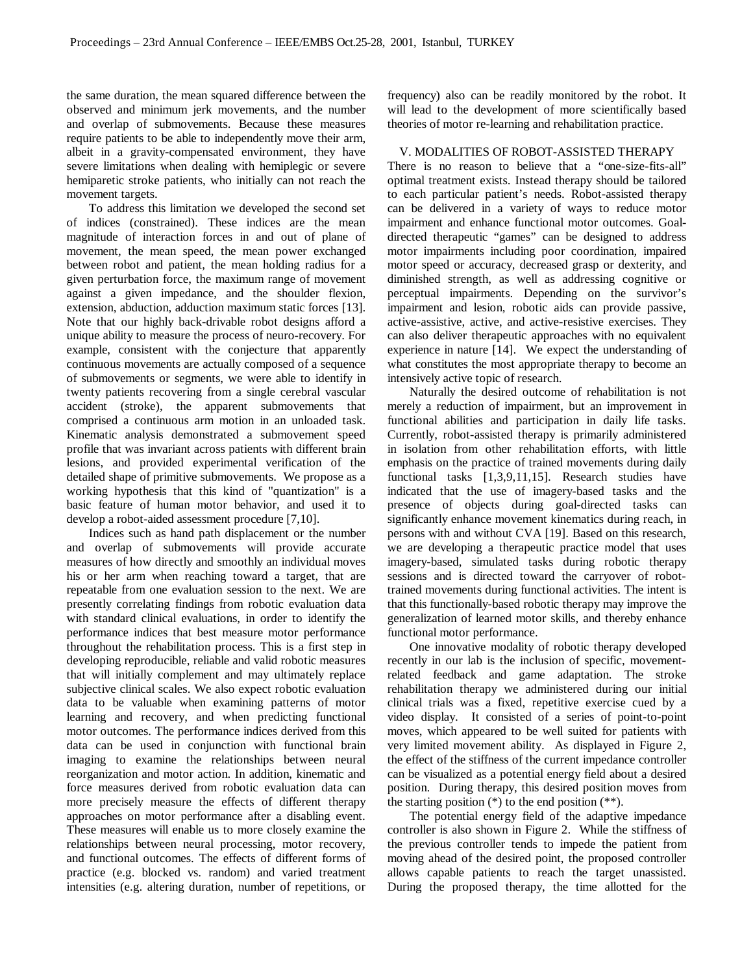the same duration, the mean squared difference between the observed and minimum jerk movements, and the number and overlap of submovements. Because these measures require patients to be able to independently move their arm, albeit in a gravity-compensated environment, they have severe limitations when dealing with hemiplegic or severe hemiparetic stroke patients, who initially can not reach the movement targets.

To address this limitation we developed the second set of indices (constrained). These indices are the mean magnitude of interaction forces in and out of plane of movement, the mean speed, the mean power exchanged between robot and patient, the mean holding radius for a given perturbation force, the maximum range of movement against a given impedance, and the shoulder flexion, extension, abduction, adduction maximum static forces [13]. Note that our highly back-drivable robot designs afford a unique ability to measure the process of neuro-recovery. For example, consistent with the conjecture that apparently continuous movements are actually composed of a sequence of submovements or segments, we were able to identify in twenty patients recovering from a single cerebral vascular accident (stroke), the apparent submovements that comprised a continuous arm motion in an unloaded task. Kinematic analysis demonstrated a submovement speed profile that was invariant across patients with different brain lesions, and provided experimental verification of the detailed shape of primitive submovements. We propose as a working hypothesis that this kind of "quantization" is a basic feature of human motor behavior, and used it to develop a robot-aided assessment procedure [7,10].

Indices such as hand path displacement or the number and overlap of submovements will provide accurate measures of how directly and smoothly an individual moves his or her arm when reaching toward a target, that are repeatable from one evaluation session to the next. We are presently correlating findings from robotic evaluation data with standard clinical evaluations, in order to identify the performance indices that best measure motor performance throughout the rehabilitation process. This is a first step in developing reproducible, reliable and valid robotic measures that will initially complement and may ultimately replace subjective clinical scales. We also expect robotic evaluation data to be valuable when examining patterns of motor learning and recovery, and when predicting functional motor outcomes. The performance indices derived from this data can be used in conjunction with functional brain imaging to examine the relationships between neural reorganization and motor action. In addition, kinematic and force measures derived from robotic evaluation data can more precisely measure the effects of different therapy approaches on motor performance after a disabling event. These measures will enable us to more closely examine the relationships between neural processing, motor recovery, and functional outcomes. The effects of different forms of practice (e.g. blocked vs. random) and varied treatment intensities (e.g. altering duration, number of repetitions, or frequency) also can be readily monitored by the robot. It will lead to the development of more scientifically based theories of motor re-learning and rehabilitation practice.

#### V. MODALITIES OF ROBOT-ASSISTED THERAPY

There is no reason to believe that a "one-size-fits-all" optimal treatment exists. Instead therapy should be tailored to each particular patient's needs. Robot-assisted therapy can be delivered in a variety of ways to reduce motor impairment and enhance functional motor outcomes. Goaldirected therapeutic "games" can be designed to address motor impairments including poor coordination, impaired motor speed or accuracy, decreased grasp or dexterity, and diminished strength, as well as addressing cognitive or perceptual impairments. Depending on the survivor's impairment and lesion, robotic aids can provide passive, active-assistive, active, and active-resistive exercises. They can also deliver therapeutic approaches with no equivalent experience in nature [14]. We expect the understanding of what constitutes the most appropriate therapy to become an intensively active topic of research.

Naturally the desired outcome of rehabilitation is not merely a reduction of impairment, but an improvement in functional abilities and participation in daily life tasks. Currently, robot-assisted therapy is primarily administered in isolation from other rehabilitation efforts, with little emphasis on the practice of trained movements during daily functional tasks [1,3,9,11,15]. Research studies have indicated that the use of imagery-based tasks and the presence of objects during goal-directed tasks can significantly enhance movement kinematics during reach, in persons with and without CVA [19]. Based on this research, we are developing a therapeutic practice model that uses imagery-based, simulated tasks during robotic therapy sessions and is directed toward the carryover of robottrained movements during functional activities. The intent is that this functionally-based robotic therapy may improve the generalization of learned motor skills, and thereby enhance functional motor performance.

One innovative modality of robotic therapy developed recently in our lab is the inclusion of specific, movementrelated feedback and game adaptation. The stroke rehabilitation therapy we administered during our initial clinical trials was a fixed, repetitive exercise cued by a video display. It consisted of a series of point-to-point moves, which appeared to be well suited for patients with very limited movement ability. As displayed in Figure 2, the effect of the stiffness of the current impedance controller can be visualized as a potential energy field about a desired position. During therapy, this desired position moves from the starting position  $(*)$  to the end position  $(**)$ .

The potential energy field of the adaptive impedance controller is also shown in Figure 2. While the stiffness of the previous controller tends to impede the patient from moving ahead of the desired point, the proposed controller allows capable patients to reach the target unassisted. During the proposed therapy, the time allotted for the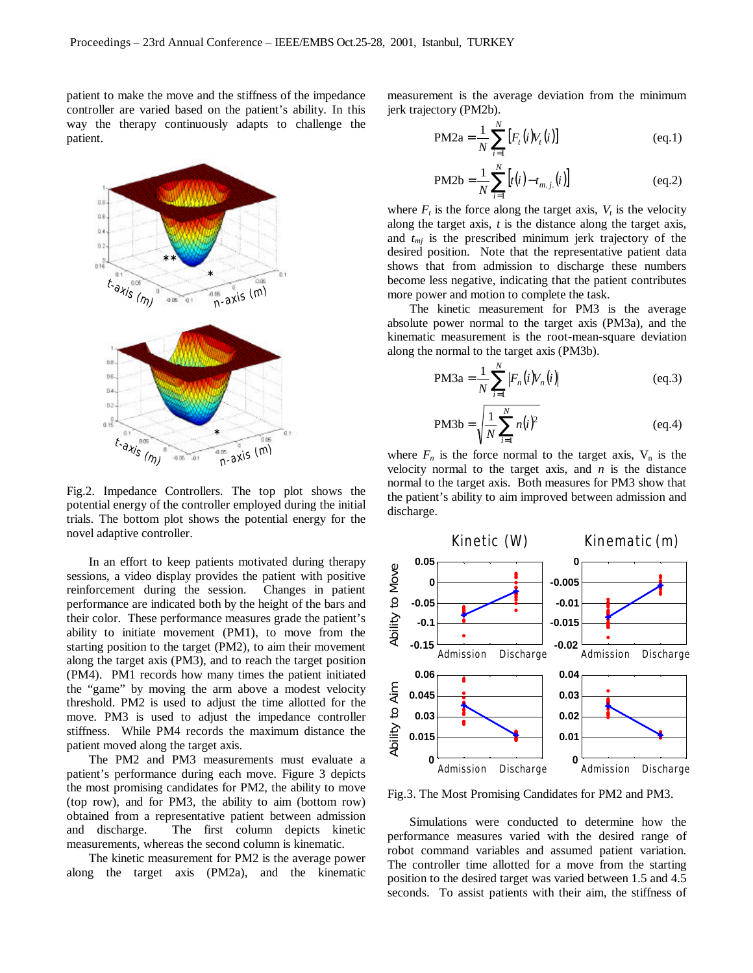patient to make the move and the stiffness of the impedance controller are varied based on the patient's ability. In this way the therapy continuously adapts to challenge the patient.



Fig.2. Impedance Controllers. The top plot shows the potential energy of the controller employed during the initial trials. The bottom plot shows the potential energy for the novel adaptive controller.

In an effort to keep patients motivated during therapy sessions, a video display provides the patient with positive reinforcement during the session. Changes in patient performance are indicated both by the height of the bars and their color. These performance measures grade the patient's ability to initiate movement (PM1), to move from the starting position to the target (PM2), to aim their movement along the target axis (PM3), and to reach the target position (PM4). PM1 records how many times the patient initiated the "game" by moving the arm above a modest velocity threshold. PM2 is used to adjust the time allotted for the move. PM3 is used to adjust the impedance controller stiffness. While PM4 records the maximum distance the patient moved along the target axis.

The PM2 and PM3 measurements must evaluate a patient's performance during each move. Figure 3 depicts the most promising candidates for PM2, the ability to move (top row), and for PM3, the ability to aim (bottom row) obtained from a representative patient between admission and discharge. The first column depicts kinetic measurements, whereas the second column is kinematic.

The kinetic measurement for PM2 is the average power along the target axis (PM2a), and the kinematic

measurement is the average deviation from the minimum jerk trajectory (PM2b).

$$
PM2a = \frac{1}{N} \sum_{i=1}^{N} [F_t(i)V_t(i)]
$$
 (eq.1)

$$
PM2b = \frac{1}{N} \sum_{i=1}^{N} [t(i) - t_{m,j}(i)]
$$
 (eq.2)

where  $F_t$  is the force along the target axis,  $V_t$  is the velocity along the target axis, *t* is the distance along the target axis, and *tmj* is the prescribed minimum jerk trajectory of the desired position. Note that the representative patient data shows that from admission to discharge these numbers become less negative, indicating that the patient contributes more power and motion to complete the task.

The kinetic measurement for PM3 is the average absolute power normal to the target axis (PM3a), and the kinematic measurement is the root-mean-square deviation along the normal to the target axis (PM3b).

$$
PM3a = \frac{1}{N} \sum_{i=1}^{N} |F_n(i) V_n(i)|
$$
 (eq.3)

$$
PM3b = \sqrt{\frac{1}{N} \sum_{i=1}^{N} n(i)^2}
$$
 (eq.4)

where  $F_n$  is the force normal to the target axis,  $V_n$  is the velocity normal to the target axis, and *n* is the distance normal to the target axis. Both measures for PM3 show that the patient's ability to aim improved between admission and discharge.



Fig.3. The Most Promising Candidates for PM2 and PM3.

Simulations were conducted to determine how the performance measures varied with the desired range of robot command variables and assumed patient variation. The controller time allotted for a move from the starting position to the desired target was varied between 1.5 and 4.5 seconds. To assist patients with their aim, the stiffness of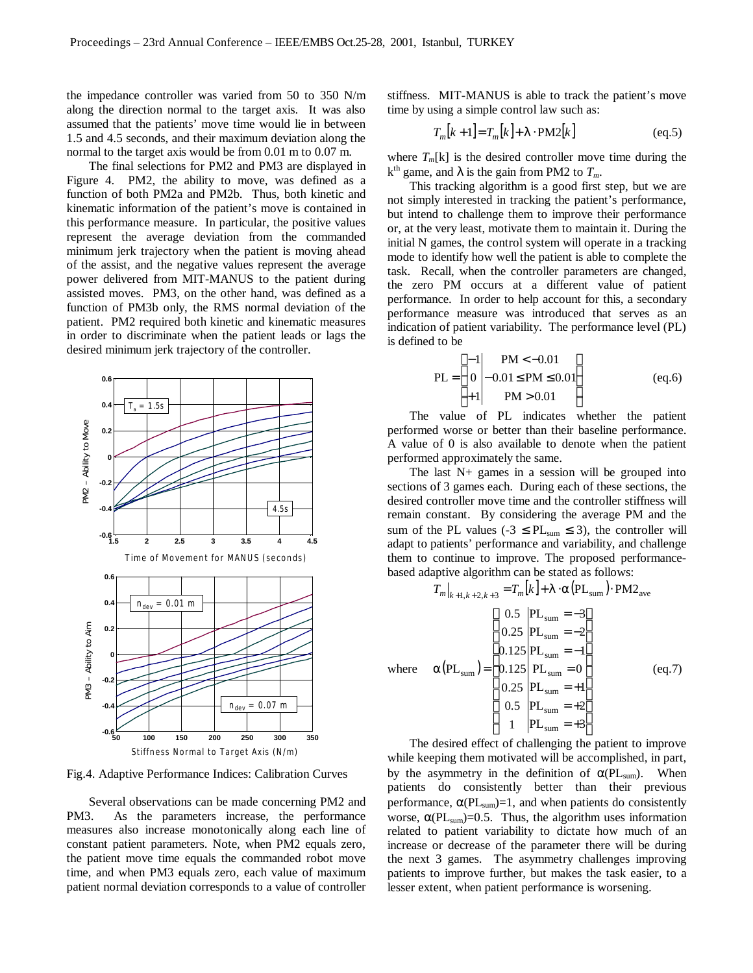the impedance controller was varied from 50 to 350 N/m along the direction normal to the target axis. It was also assumed that the patients' move time would lie in between 1.5 and 4.5 seconds, and their maximum deviation along the normal to the target axis would be from 0.01 m to 0.07 m.

The final selections for PM2 and PM3 are displayed in Figure 4. PM2, the ability to move, was defined as a function of both PM2a and PM2b. Thus, both kinetic and kinematic information of the patient's move is contained in this performance measure. In particular, the positive values represent the average deviation from the commanded minimum jerk trajectory when the patient is moving ahead of the assist, and the negative values represent the average power delivered from MIT-MANUS to the patient during assisted moves. PM3, on the other hand, was defined as a function of PM3b only, the RMS normal deviation of the patient. PM2 required both kinetic and kinematic measures in order to discriminate when the patient leads or lags the desired minimum jerk trajectory of the controller.



Fig.4. Adaptive Performance Indices: Calibration Curves

Several observations can be made concerning PM2 and PM3. As the parameters increase, the performance measures also increase monotonically along each line of constant patient parameters. Note, when PM2 equals zero, the patient move time equals the commanded robot move time, and when PM3 equals zero, each value of maximum patient normal deviation corresponds to a value of controller

stiffness. MIT-MANUS is able to track the patient's move time by using a simple control law such as:

$$
T_m[k+1] = T_m[k] + I \cdot \text{PM2}[k] \tag{eq.5}
$$

where  $T_m[k]$  is the desired controller move time during the  $k<sup>th</sup>$  game, and  $\lambda$  is the gain from PM2 to  $T_m$ .

This tracking algorithm is a good first step, but we are not simply interested in tracking the patient's performance, but intend to challenge them to improve their performance or, at the very least, motivate them to maintain it. During the initial N games, the control system will operate in a tracking mode to identify how well the patient is able to complete the task. Recall, when the controller parameters are changed, the zero PM occurs at a different value of patient performance. In order to help account for this, a secondary performance measure was introduced that serves as an indication of patient variability. The performance level (PL) is defined to be

$$
PL = \begin{cases}\n-1 & PM < -0.01 \\
0 & -0.01 \le PM \le 0.01 \\
+1 & PM > 0.01\n\end{cases}
$$
\n(eq.6)

The value of PL indicates whether the patient performed worse or better than their baseline performance. A value of 0 is also available to denote when the patient performed approximately the same.

The last N+ games in a session will be grouped into sections of 3 games each. During each of these sections, the desired controller move time and the controller stiffness will remain constant. By considering the average PM and the sum of the PL values (-3  $\leq$  PL<sub>sum</sub>  $\leq$  3), the controller will adapt to patients' performance and variability, and challenge them to continue to improve. The proposed performancebased adaptive algorithm can be stated as follows:

$$
T_m|_{k+1,k+2,k+3} = T_m[k] + I \cdot \mathbf{a} (PL_{sum}) \cdot PM2_{ave}
$$
  
\n
$$
\begin{bmatrix}\n0.5 & PL_{sum} = -3 \\
0.25 & PL_{sum} = -2 \\
0.125 & PL_{sum} = -1 \\
0.125 & PL_{sum} = 0 \\
0.25 & PL_{sum} = 0 \\
0.25 & PL_{sum} = +1 \\
0.5 & PL_{sum} = +2 \\
1 & PL_{sum} = +3\n\end{bmatrix}
$$
 (eq.7)

The desired effect of challenging the patient to improve while keeping them motivated will be accomplished, in part, by the asymmetry in the definition of  $\alpha(PL_{sum})$ . When patients do consistently better than their previous performance,  $\alpha$ (PL<sub>sum</sub>)=1, and when patients do consistently worse,  $\alpha$ (PL<sub>sum</sub>)=0.5. Thus, the algorithm uses information related to patient variability to dictate how much of an increase or decrease of the parameter there will be during the next 3 games. The asymmetry challenges improving patients to improve further, but makes the task easier, to a lesser extent, when patient performance is worsening.